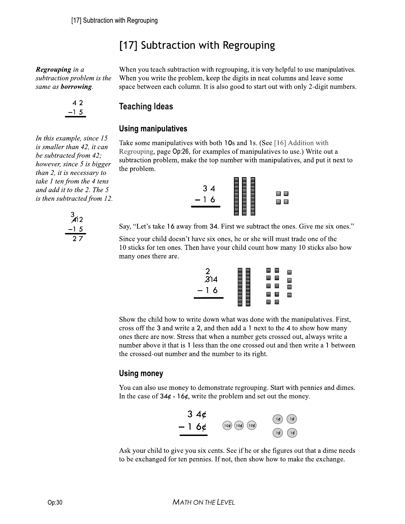# [17] Subtraction with Regrouping

**Regrouping** in  $a$ subtraction problem is the When you write the problem, keep the digits in neat columns and leave some same as **borrowing**. Space between each column. It is also good to start out with only 2-digit numbers. same as borrowing.

4<sub>2</sub>  $-15$ 

be subtracted from 42,<br>however, since 5 is bigger subtraction problem, make the top number with manipulatives, and put it next to<br> $\frac{d}{dx}$ [17] Subtraction with Regrouping<br>
[17] Subtraction with Regrouping<br>
Regrouping in a<br>
subtraction problem is the<br>
when you teach subtraction with regrouping, it is very helpful to use manipulatives.<br>
subtraction problem is

When you teach subtraction with regrouping, it is very helpful to use manipulatives. When you write the problem, keep the digits in neat columns and leave some



Say, "Let's take 16 away from 34. First we subtract the ones. Give me six ones."

Since your child doesn't have six ones, he or she will must trade one of the 10 sticks for ten ones. Then have your child count how many 10 sticks also how many ones there are.

| $\frac{2}{3}$ 14         | ш<br><b>Service</b> |  |
|--------------------------|---------------------|--|
| $\overline{\phantom{m}}$ | - -                 |  |
| 16                       | <b>Service</b>      |  |
|                          | <b>START</b>        |  |

Regramping in a<br>
scholar charge of the When you tests has been the problem, they are the dispersent problem, the problem, the problem, they are the dispersent problem. It is also good<br>
stand at harmoning street 15<br>
Using Show the child how to write down what was done with the manipulatives. First, cross off the 3 and write a 2, and then add a 1 next to the 4 to show how many ones there are now. Stress that when a number gets crossed out, always write a number above it that is 1 less than the one crossed out and then write a 1 between the crossed-out number and the number to its right.

### Using money

You can also use money to demonstrate regrouping. Start with pennies and dimes. In the case of  $34¢ - 16¢$ , write the problem and set out the money.



Ask your child to give you six cents. See if he or she figures out that a dime needs to be exchanged for ten pennies. If not, then show how to make the exchange.

In this example, since  $15$ is smaller than  $42$ , it can be subtracted from  $42$ ; than 2, it is necessary to take  $1$  ten from the  $4$  tens and add it to the  $2.$  The  $5$ 



is then subtracted from 12.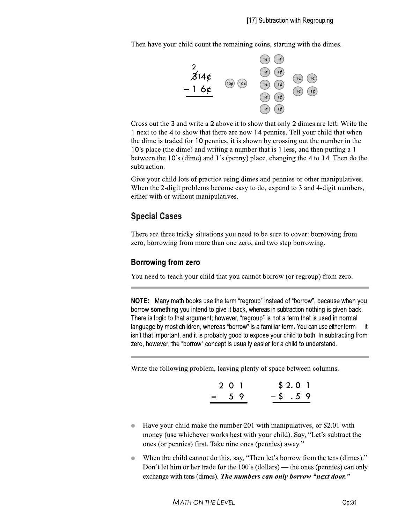Then have your child count the remaining coins, starting with the dimes.



Cross out the 3 and write a 2 above it to show that only 2 dimes are left. Write the 1 next to the 4 to show that there are now 14 pennies. Tell your child that when the dime is traded for 10 pennies, it is shown by crossing out the number in the 10's place (the dime) and writing a number that is 1 less, and then putting a 1 between the 10's (dime) and 1's (penny) place, changing the 4 to 14. Then do the subtraction.

Give your child lots of practice using dimes and pennies or other manipulatives. When the 2-digit problems become easy to do, expand to 3 and 4-digit numbers, either with or without manipulatives.

# **Special Cases**

There are three tricky situations you need to be sure to cover: borrowing from zero, borrowing from more than one zero, and two step borrowing.

### **Borrowing from zero**

You need to teach your child that you cannot borrow (or regroup) from zero.

**NOTE:** Many math books use the term "regroup" instead of "borrow", because when you borrow something you intend to give it back, whereas in subtraction nothing is given back. There is logic to that argument; however, "regroup" is not a term that is used in normal language by most children, whereas "borrow" is a familiar term. You can use either term — it isn't that important, and it is probably good to expose your child to both. In subtracting from zero, however, the "borrow" concept is usually easier for a child to understand.

Write the following problem, leaving plenty of space between columns.

| 2 0 1 |         | \$2.01 |  |
|-------|---------|--------|--|
| $-59$ | $-5.59$ |        |  |

- Have your child make the number 201 with manipulatives, or \$2.01 with money (use whichever works best with your child). Say, "Let's subtract the ones (or pennies) first. Take nine ones (pennies) away."
- When the child cannot do this, say, "Then let's borrow from the tens (dimes)." Don't let him or her trade for the 100's (dollars) — the ones (pennies) can only exchange with tens (dimes). The numbers can only borrow "next door."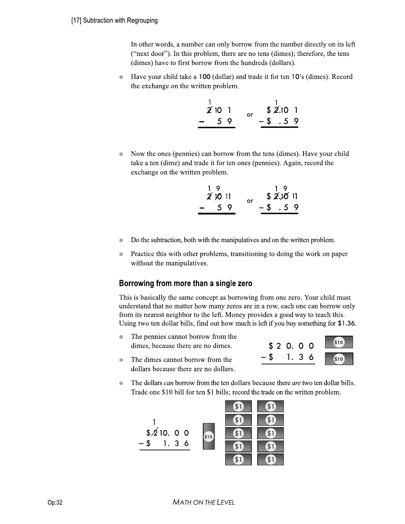In other words, a number can only borrow from the number directly on its left ("next door"). In this problem, there are no tens (dimes); therefore, the tens (dimes) have to first borrow from the hundreds (dollars).

Have your child take a 100 (dollar) and trade it for ten 10's (dimes). Record the exchange on the written problem.

| 2'101        | nr |               | $$2.10$ 1 |  |
|--------------|----|---------------|-----------|--|
| 59<br>$\sim$ |    | $-$ \$ $.5$ 9 |           |  |

• Now the ones (pennies) can borrow from the tens (dimes). Have your child take a ten (dime) and trade it for ten ones (pennies). Again, record the exchange on the written problem.

| 19             | 19             |
|----------------|----------------|
| 20011          | \$2.1011<br>o۳ |
| 59<br>$\equiv$ | $-5.59$        |

- Do the subtraction, both with the manipulatives and on the written problem.
- Practice this with other problems, transitioning to doing the work on paper without the manipulatives.

5A120:1/123/;9.AH:>91AJ37G W\*&&\*X)+YZ[&\*\Z\\*&%Z(]'+Z'Z,)+Y^%Z\_%&\* `2A7/A7/<97A=9>>?/123/79;3/=0.=3H1/97/<04405A.R/@40;/0.3/a340G/b0:4/=2A>6/;:71/ :.634719.6/1291/.0/;91134/205/;9.?/a3407/943/A./9/4058/39=2/0.3/=9./<04405/0.>?/ @40;/A17/.394371/.3AR2<04/10/123/>3@1G/c0.3?/H40JA637/9/R006/59?/10/139=2/12A7G/ d7A.R/150/13./60>>94/<A>>78/@A.6/0:1/205/;:=2/A7/>3@1/A@/?0:/<:?/70;312A.R/@04/eNfgh<sup>G</sup>

- The pennies cannot borrow from the dimes, because there are no dimes.
- $\bullet$  The dimes cannot borrow from the dollars because there are no dollars.



 $\bullet$  The dollars *can* borrow from the ten dollars because there *are* two ten dollar bills. Trade one \$10 bill for ten \$1 bills; record the trade on the written problem.